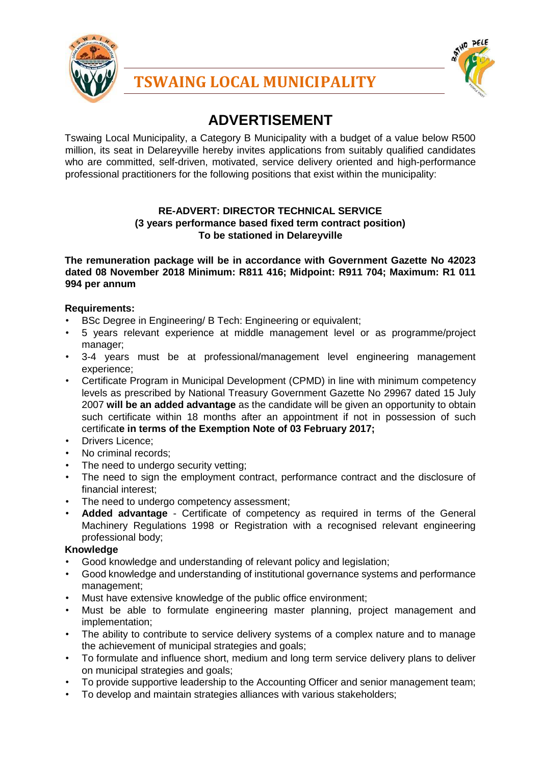

**TSWAING LOCAL MUNICIPALITY**



# **ADVERTISEMENT**

Tswaing Local Municipality, a Category B Municipality with a budget of a value below R500 million, its seat in Delareyville hereby invites applications from suitably qualified candidates who are committed, self-driven, motivated, service delivery oriented and high-performance professional practitioners for the following positions that exist within the municipality:

### **RE-ADVERT: DIRECTOR TECHNICAL SERVICE (3 years performance based fixed term contract position) To be stationed in Delareyville**

**The remuneration package will be in accordance with Government Gazette No 42023 dated 08 November 2018 Minimum: R811 416; Midpoint: R911 704; Maximum: R1 011 994 per annum** 

## **Requirements:**

- BSc Degree in Engineering/ B Tech: Engineering or equivalent;
- 5 years relevant experience at middle management level or as programme/project manager;
- 3-4 years must be at professional/management level engineering management experience;
- Certificate Program in Municipal Development (CPMD) in line with minimum competency levels as prescribed by National Treasury Government Gazette No 29967 dated 15 July 2007 **will be an added advantage** as the candidate will be given an opportunity to obtain such certificate within 18 months after an appointment if not in possession of such certificat**e in terms of the Exemption Note of 03 February 2017;**
- Drivers Licence;
- No criminal records;
- The need to undergo security vetting;
- The need to sign the employment contract, performance contract and the disclosure of financial interest;
- The need to undergo competency assessment;
- **Added advantage** Certificate of competency as required in terms of the General Machinery Regulations 1998 or Registration with a recognised relevant engineering professional body;

#### **Knowledge**

- Good knowledge and understanding of relevant policy and legislation;
- Good knowledge and understanding of institutional governance systems and performance management;
- Must have extensive knowledge of the public office environment;
- Must be able to formulate engineering master planning, project management and implementation;
- The ability to contribute to service delivery systems of a complex nature and to manage the achievement of municipal strategies and goals;
- To formulate and influence short, medium and long term service delivery plans to deliver on municipal strategies and goals;
- To provide supportive leadership to the Accounting Officer and senior management team;
- To develop and maintain strategies alliances with various stakeholders;